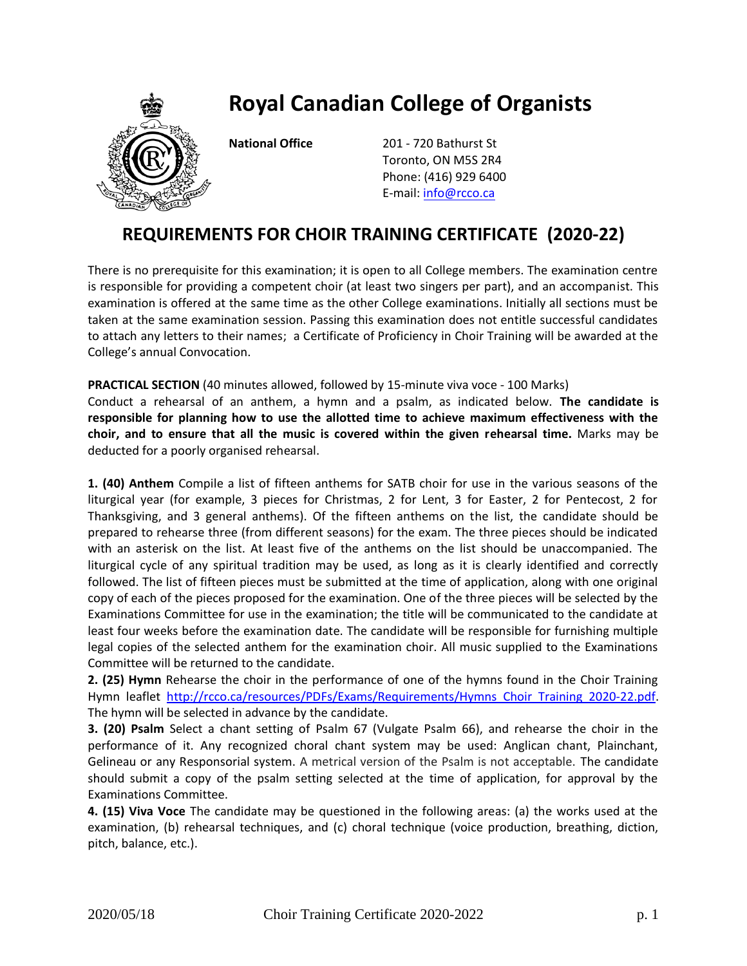## **Royal Canadian College of Organists**



**National Office** 201 - 720 Bathurst St Toronto, ON M5S 2R4 Phone: (416) 929 6400 E-mail: [info@rcco.ca](mailto:info@rcco.ca)

## **REQUIREMENTS FOR CHOIR TRAINING CERTIFICATE (2020-22)**

There is no prerequisite for this examination; it is open to all College members. The examination centre is responsible for providing a competent choir (at least two singers per part), and an accompanist. This examination is offered at the same time as the other College examinations. Initially all sections must be taken at the same examination session. Passing this examination does not entitle successful candidates to attach any letters to their names; a Certificate of Proficiency in Choir Training will be awarded at the College's annual Convocation.

**PRACTICAL SECTION** (40 minutes allowed, followed by 15-minute viva voce - 100 Marks) Conduct a rehearsal of an anthem, a hymn and a psalm, as indicated below. **The candidate is responsible for planning how to use the allotted time to achieve maximum effectiveness with the choir, and to ensure that all the music is covered within the given rehearsal time.** Marks may be deducted for a poorly organised rehearsal.

**1. (40) Anthem** Compile a list of fifteen anthems for SATB choir for use in the various seasons of the liturgical year (for example, 3 pieces for Christmas, 2 for Lent, 3 for Easter, 2 for Pentecost, 2 for Thanksgiving, and 3 general anthems). Of the fifteen anthems on the list, the candidate should be prepared to rehearse three (from different seasons) for the exam. The three pieces should be indicated with an asterisk on the list. At least five of the anthems on the list should be unaccompanied. The liturgical cycle of any spiritual tradition may be used, as long as it is clearly identified and correctly followed. The list of fifteen pieces must be submitted at the time of application, along with one original copy of each of the pieces proposed for the examination. One of the three pieces will be selected by the Examinations Committee for use in the examination; the title will be communicated to the candidate at least four weeks before the examination date. The candidate will be responsible for furnishing multiple legal copies of the selected anthem for the examination choir. All music supplied to the Examinations Committee will be returned to the candidate.

**2. (25) Hymn** Rehearse the choir in the performance of one of the hymns found in the Choir Training Hymn leaflet [http://rcco.ca/resources/PDFs/Exams/Requirements/Hymns](http://rcco.ca/resources/PDFs/Exams/Requirements/Hymns%20Choir%20Training%202020-22.pdf) Choir Training 2020-22.pdf. The hymn will be selected in advance by the candidate.

**3. (20) Psalm** Select a chant setting of Psalm 67 (Vulgate Psalm 66), and rehearse the choir in the performance of it. Any recognized choral chant system may be used: Anglican chant, Plainchant, Gelineau or any Responsorial system. A metrical version of the Psalm is not acceptable. The candidate should submit a copy of the psalm setting selected at the time of application, for approval by the Examinations Committee.

**4. (15) Viva Voce** The candidate may be questioned in the following areas: (a) the works used at the examination, (b) rehearsal techniques, and (c) choral technique (voice production, breathing, diction, pitch, balance, etc.).